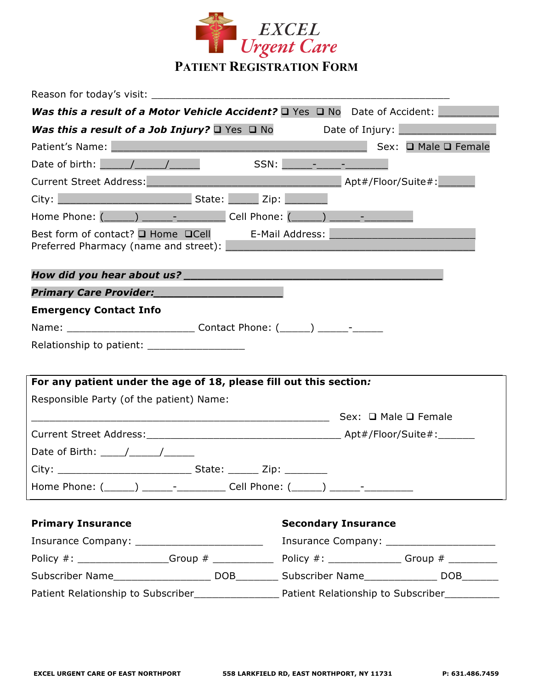

| Reason for today's visit:                                                                                       |                                                                                                                        |
|-----------------------------------------------------------------------------------------------------------------|------------------------------------------------------------------------------------------------------------------------|
| <b>Was this a result of a Motor Vehicle Accident?</b> $\Box$ Yes $\Box$ No Date of Accident:                    |                                                                                                                        |
| <b>Was this a result of a Job Injury?</b> $\Box$ Yes $\Box$ No Date of Injury: $\Box$                           |                                                                                                                        |
| Patient's Name: Manual Manual Manual Manual Manual Manual Manual Manual Manual Manual Manual Manual Manual Manu | Sex: □ Male □ Female                                                                                                   |
| Date of birth: $\sqrt{1 - 1}$                                                                                   |                                                                                                                        |
| Current Street Address: Manual Apt#/Floor/Suite#:                                                               |                                                                                                                        |
|                                                                                                                 |                                                                                                                        |
| Home Phone: (______) ______- _________ Cell Phone: (_____) ______- _____________                                |                                                                                                                        |
| Best form of contact? $\square$ Home $\square$ Cell E-Mail Address:<br>Preferred Pharmacy (name and street):    | <u> 1980 - Jan Samuel Barbara, margaret e populazion del control del control del control del control de la control</u> |
|                                                                                                                 |                                                                                                                        |
| Primary Care Provider:                                                                                          |                                                                                                                        |
| <b>Emergency Contact Info</b>                                                                                   |                                                                                                                        |
|                                                                                                                 |                                                                                                                        |
| Relationship to patient: _____________________                                                                  |                                                                                                                        |
| For any patient under the age of 18, please fill out this section:                                              |                                                                                                                        |
| Responsible Party (of the patient) Name:                                                                        |                                                                                                                        |
|                                                                                                                 |                                                                                                                        |
|                                                                                                                 |                                                                                                                        |
| Date of Birth: $\frac{1}{\sqrt{1-\frac{1}{2}}}\left\vert \frac{1}{\sqrt{1-\frac{1}{2}}}\right\vert$             |                                                                                                                        |
|                                                                                                                 |                                                                                                                        |
| Home Phone: (______) ______- ___________ Cell Phone: (_____) ______- __________                                 |                                                                                                                        |
| <b>Primary Insurance</b>                                                                                        | <b>Secondary Insurance</b>                                                                                             |
| Insurance Company: __________________________                                                                   | Insurance Company: ________________________                                                                            |
|                                                                                                                 |                                                                                                                        |
|                                                                                                                 |                                                                                                                        |

Patient Relationship to Subscriber\_\_\_\_\_\_\_\_\_\_\_\_\_\_ Patient Relationship to Subscriber\_\_\_\_\_\_\_\_\_